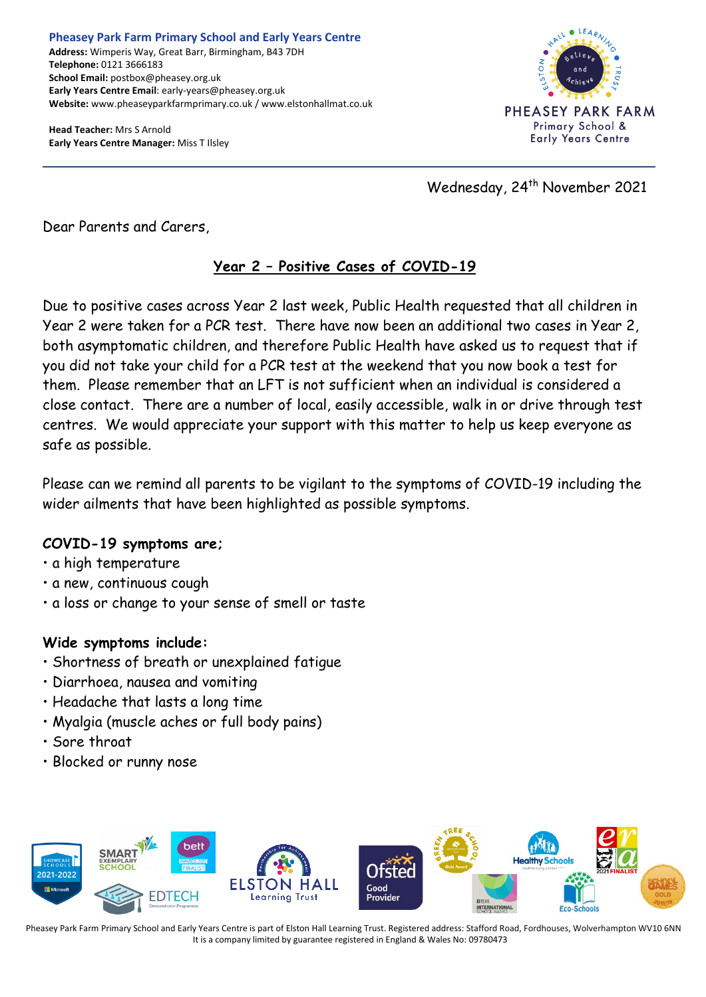**Head Teacher:** Mrs S Arnold **Early Years Centre Manager:** Miss T Ilsley



Wednesday, 24<sup>th</sup> November 2021

Dear Parents and Carers,

## **Year 2 – Positive Cases of COVID-19**

Due to positive cases across Year 2 last week, Public Health requested that all children in Year 2 were taken for a PCR test. There have now been an additional two cases in Year 2, both asymptomatic children, and therefore Public Health have asked us to request that if you did not take your child for a PCR test at the weekend that you now book a test for them. Please remember that an LFT is not sufficient when an individual is considered a close contact. There are a number of local, easily accessible, walk in or drive through test centres. We would appreciate your support with this matter to help us keep everyone as safe as possible.

Please can we remind all parents to be vigilant to the symptoms of COVID-19 including the wider ailments that have been highlighted as possible symptoms.

## **COVID-19 symptoms are;**

- a high temperature
- a new, continuous cough
- a loss or change to your sense of smell or taste

## **Wide symptoms include:**

- Shortness of breath or unexplained fatigue
- Diarrhoea, nausea and vomiting
- Headache that lasts a long time
- Myalgia (muscle aches or full body pains)
- Sore throat
- Blocked or runny nose



Pheasey Park Farm Primary School and Early Years Centre is part of Elston Hall Learning Trust. Registered address: Stafford Road, Fordhouses, Wolverhampton WV10 6NN It is a company limited by guarantee registered in England & Wales No: 09780473